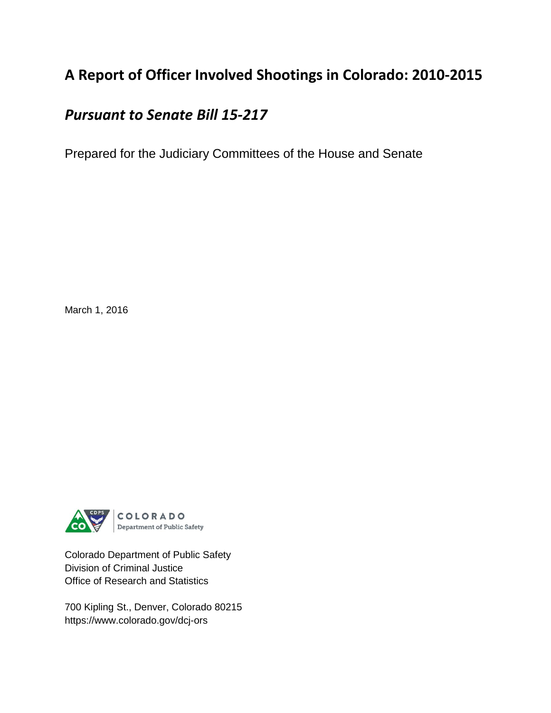## **A Report of Officer Involved Shootings in Colorado: 2010-2015**

## *Pursuant to Senate Bill 15-217*

Prepared for the Judiciary Committees of the House and Senate

March 1, 2016



Colorado Department of Public Safety Division of Criminal Justice Office of Research and Statistics

700 Kipling St., Denver, Colorado 80215 https://www.colorado.gov/dcj-ors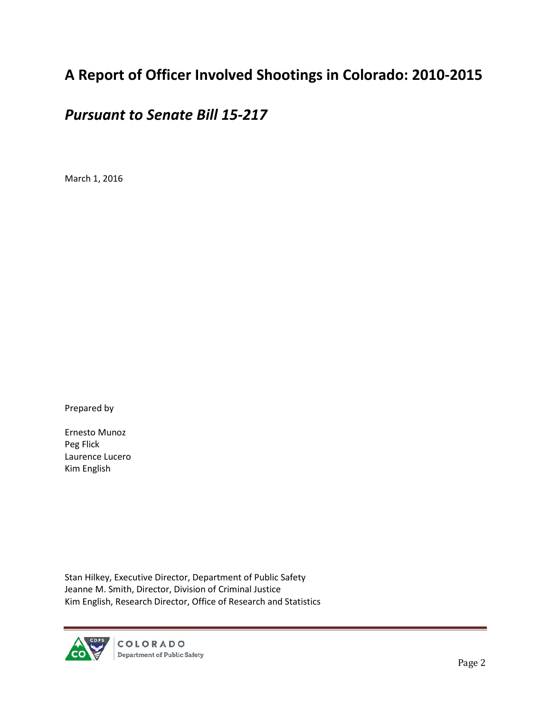## **A Report of Officer Involved Shootings in Colorado: 2010-2015**

## *Pursuant to Senate Bill 15-217*

March 1, 2016

Prepared by

Ernesto Munoz Peg Flick Laurence Lucero Kim English

Stan Hilkey, Executive Director, Department of Public Safety Jeanne M. Smith, Director, Division of Criminal Justice Kim English, Research Director, Office of Research and Statistics

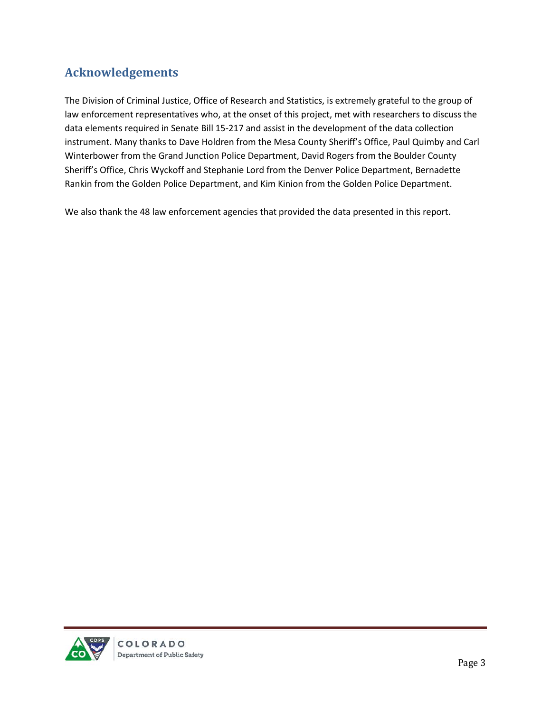## <span id="page-2-0"></span>**Acknowledgements**

The Division of Criminal Justice, Office of Research and Statistics, is extremely grateful to the group of law enforcement representatives who, at the onset of this project, met with researchers to discuss the data elements required in Senate Bill 15-217 and assist in the development of the data collection instrument. Many thanks to Dave Holdren from the Mesa County Sheriff's Office, Paul Quimby and Carl Winterbower from the Grand Junction Police Department, David Rogers from the Boulder County Sheriff's Office, Chris Wyckoff and Stephanie Lord from the Denver Police Department, Bernadette Rankin from the Golden Police Department, and Kim Kinion from the Golden Police Department.

We also thank the 48 law enforcement agencies that provided the data presented in this report.

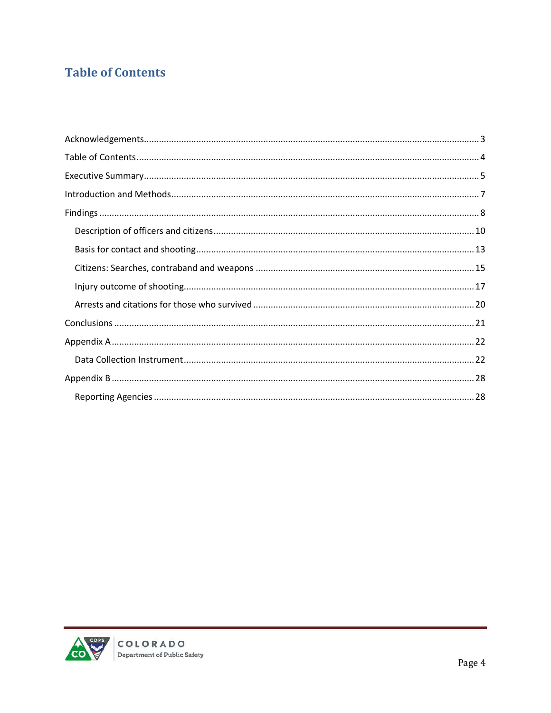## <span id="page-3-0"></span>**Table of Contents**

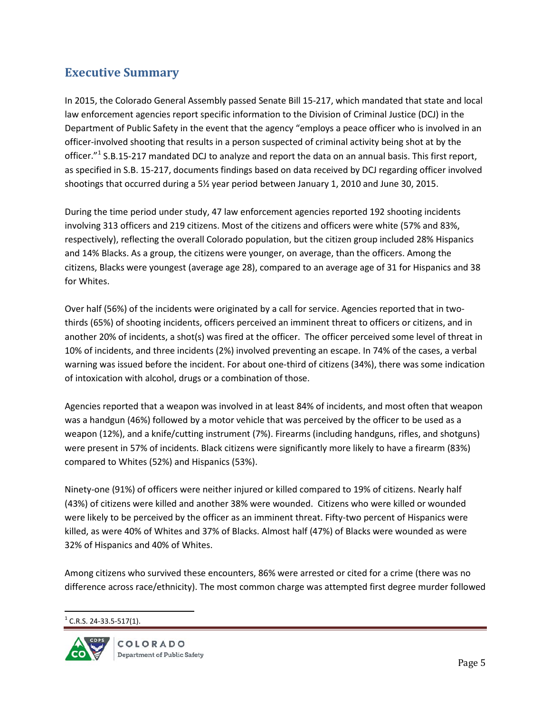### <span id="page-4-0"></span>**Executive Summary**

In 2015, the Colorado General Assembly passed Senate Bill 15-217, which mandated that state and local law enforcement agencies report specific information to the Division of Criminal Justice (DCJ) in the Department of Public Safety in the event that the agency "employs a peace officer who is involved in an officer-involved shooting that results in a person suspected of criminal activity being shot at by the officer."<sup>[1](#page-4-1)</sup> S.B.15-217 mandated DCJ to analyze and report the data on an annual basis. This first report, as specified in S.B. 15-217, documents findings based on data received by DCJ regarding officer involved shootings that occurred during a 5½ year period between January 1, 2010 and June 30, 2015.

During the time period under study, 47 law enforcement agencies reported 192 shooting incidents involving 313 officers and 219 citizens. Most of the citizens and officers were white (57% and 83%, respectively), reflecting the overall Colorado population, but the citizen group included 28% Hispanics and 14% Blacks. As a group, the citizens were younger, on average, than the officers. Among the citizens, Blacks were youngest (average age 28), compared to an average age of 31 for Hispanics and 38 for Whites.

Over half (56%) of the incidents were originated by a call for service. Agencies reported that in twothirds (65%) of shooting incidents, officers perceived an imminent threat to officers or citizens, and in another 20% of incidents, a shot(s) was fired at the officer. The officer perceived some level of threat in 10% of incidents, and three incidents (2%) involved preventing an escape. In 74% of the cases, a verbal warning was issued before the incident. For about one-third of citizens (34%), there was some indication of intoxication with alcohol, drugs or a combination of those.

Agencies reported that a weapon was involved in at least 84% of incidents, and most often that weapon was a handgun (46%) followed by a motor vehicle that was perceived by the officer to be used as a weapon (12%), and a knife/cutting instrument (7%). Firearms (including handguns, rifles, and shotguns) were present in 57% of incidents. Black citizens were significantly more likely to have a firearm (83%) compared to Whites (52%) and Hispanics (53%).

Ninety-one (91%) of officers were neither injured or killed compared to 19% of citizens. Nearly half (43%) of citizens were killed and another 38% were wounded. Citizens who were killed or wounded were likely to be perceived by the officer as an imminent threat. Fifty-two percent of Hispanics were killed, as were 40% of Whites and 37% of Blacks. Almost half (47%) of Blacks were wounded as were 32% of Hispanics and 40% of Whites.

Among citizens who survived these encounters, 86% were arrested or cited for a crime (there was no difference across race/ethnicity). The most common charge was attempted first degree murder followed

<span id="page-4-1"></span> $<sup>1</sup>$  C.R.S. 24-33.5-517(1).</sup>

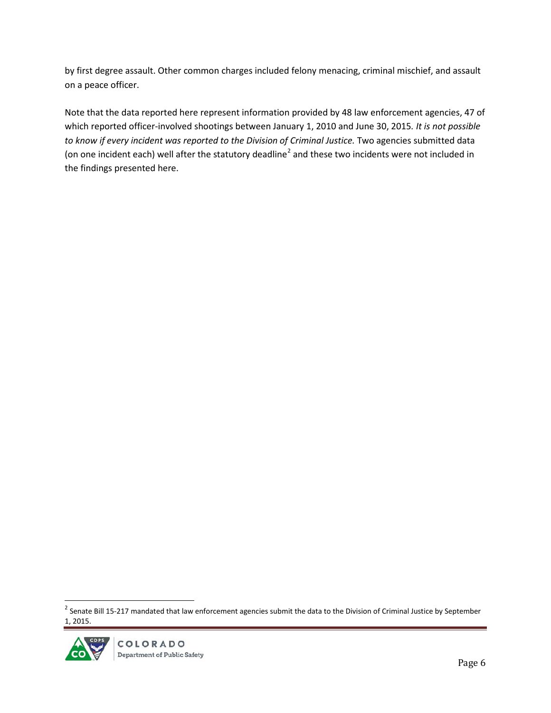by first degree assault. Other common charges included felony menacing, criminal mischief, and assault on a peace officer.

Note that the data reported here represent information provided by 48 law enforcement agencies, 47 of which reported officer-involved shootings between January 1, 2010 and June 30, 2015*. It is not possible to know if every incident was reported to the Division of Criminal Justice.* Two agencies submitted data (on one incident each) well after the statutory deadline<sup>[2](#page-5-0)</sup> and these two incidents were not included in the findings presented here.

<span id="page-5-0"></span> $2$  Senate Bill 15-217 mandated that law enforcement agencies submit the data to the Division of Criminal Justice by September 1, 2015.

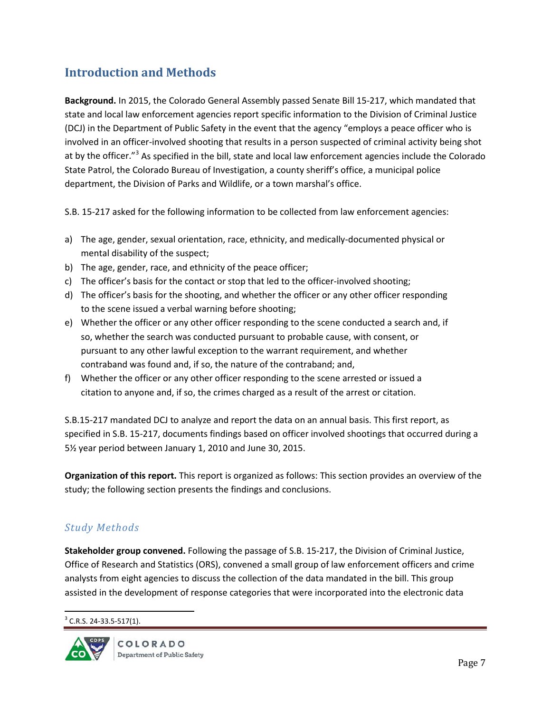### <span id="page-6-0"></span>**Introduction and Methods**

**Background.** In 2015, the Colorado General Assembly passed Senate Bill 15-217, which mandated that state and local law enforcement agencies report specific information to the Division of Criminal Justice (DCJ) in the Department of Public Safety in the event that the agency "employs a peace officer who is involved in an officer-involved shooting that results in a person suspected of criminal activity being shot at by the officer."<sup>[3](#page-6-1)</sup> As specified in the bill, state and local law enforcement agencies include the Colorado State Patrol, the Colorado Bureau of Investigation, a county sheriff's office, a municipal police department, the Division of Parks and Wildlife, or a town marshal's office.

S.B. 15-217 asked for the following information to be collected from law enforcement agencies:

- a) The age, gender, sexual orientation, race, ethnicity, and medically-documented physical or mental disability of the suspect;
- b) The age, gender, race, and ethnicity of the peace officer;
- c) The officer's basis for the contact or stop that led to the officer-involved shooting;
- d) The officer's basis for the shooting, and whether the officer or any other officer responding to the scene issued a verbal warning before shooting;
- e) Whether the officer or any other officer responding to the scene conducted a search and, if so, whether the search was conducted pursuant to probable cause, with consent, or pursuant to any other lawful exception to the warrant requirement, and whether contraband was found and, if so, the nature of the contraband; and,
- f) Whether the officer or any other officer responding to the scene arrested or issued a citation to anyone and, if so, the crimes charged as a result of the arrest or citation.

S.B.15-217 mandated DCJ to analyze and report the data on an annual basis. This first report, as specified in S.B. 15-217, documents findings based on officer involved shootings that occurred during a 5½ year period between January 1, 2010 and June 30, 2015.

**Organization of this report.** This report is organized as follows: This section provides an overview of the study; the following section presents the findings and conclusions.

### *Study Methods*

**Stakeholder group convened.** Following the passage of S.B. 15-217, the Division of Criminal Justice, Office of Research and Statistics (ORS), convened a small group of law enforcement officers and crime analysts from eight agencies to discuss the collection of the data mandated in the bill. This group assisted in the development of response categories that were incorporated into the electronic data

<span id="page-6-1"></span> $3$  C.R.S. 24-33.5-517(1).

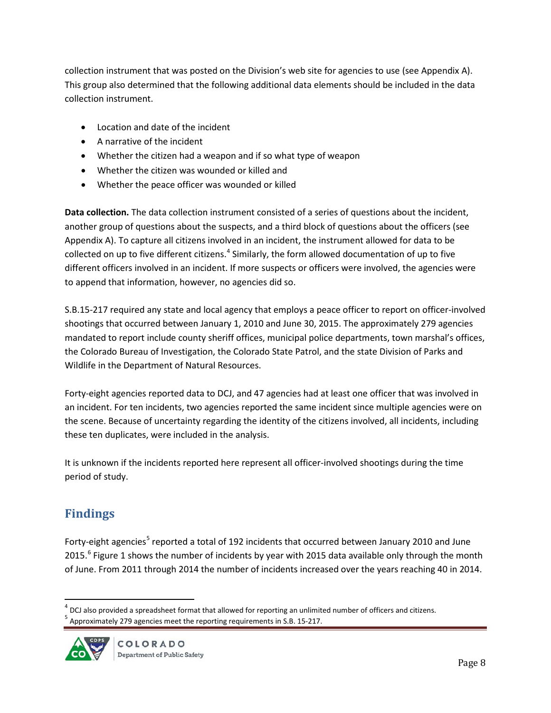collection instrument that was posted on the Division's web site for agencies to use (see Appendix A). This group also determined that the following additional data elements should be included in the data collection instrument.

- Location and date of the incident
- A narrative of the incident
- Whether the citizen had a weapon and if so what type of weapon
- Whether the citizen was wounded or killed and
- Whether the peace officer was wounded or killed

**Data collection.** The data collection instrument consisted of a series of questions about the incident, another group of questions about the suspects, and a third block of questions about the officers (see Appendix A). To capture all citizens involved in an incident, the instrument allowed for data to be collected on up to five different citizens.<sup>[4](#page-7-1)</sup> Similarly, the form allowed documentation of up to five different officers involved in an incident. If more suspects or officers were involved, the agencies were to append that information, however, no agencies did so.

S.B.15-217 required any state and local agency that employs a peace officer to report on officer-involved shootings that occurred between January 1, 2010 and June 30, 2015. The approximately 279 agencies mandated to report include county sheriff offices, municipal police departments, town marshal's offices, the Colorado Bureau of Investigation, the Colorado State Patrol, and the state Division of Parks and Wildlife in the Department of Natural Resources.

Forty-eight agencies reported data to DCJ, and 47 agencies had at least one officer that was involved in an incident. For ten incidents, two agencies reported the same incident since multiple agencies were on the scene. Because of uncertainty regarding the identity of the citizens involved, all incidents, including these ten duplicates, were included in the analysis.

It is unknown if the incidents reported here represent all officer-involved shootings during the time period of study.

## <span id="page-7-0"></span>**Findings**

Forty-eight agencies<sup>[5](#page-7-2)</sup> reported a total of 192 incidents that occurred between January 2010 and June 2015.<sup>[6](#page-7-3)</sup> Figure 1 shows the number of incidents by year with 2015 data available only through the month of June. From 2011 through 2014 the number of incidents increased over the years reaching 40 in 2014.

<span id="page-7-2"></span><span id="page-7-1"></span> $<sup>5</sup>$  Approximately 279 agencies meet the reporting requirements in S.B. 15-217.</sup>



<span id="page-7-3"></span> $<sup>4</sup>$  DCJ also provided a spreadsheet format that allowed for reporting an unlimited number of officers and citizens.</sup>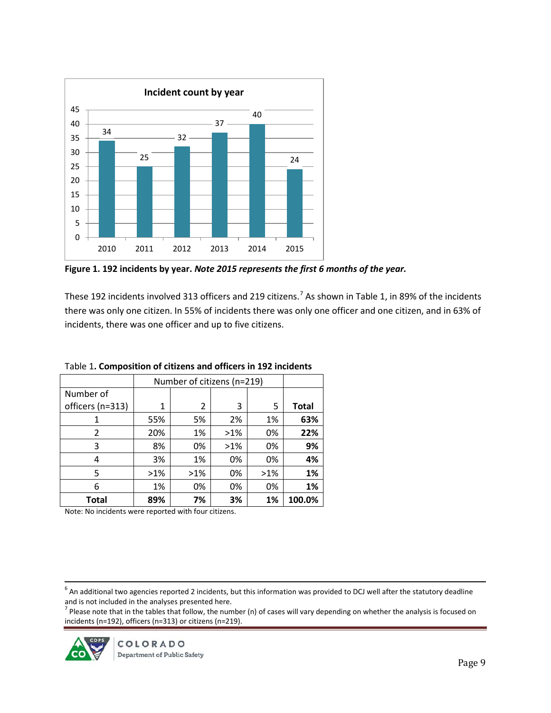

**Figure 1. 192 incidents by year.** *Note 2015 represents the first 6 months of the year.*

These 192 incidents involved 313 officers and 219 citizens.<sup>[7](#page-8-0)</sup> As shown in Table 1, in 89% of the incidents there was only one citizen. In 55% of incidents there was only one officer and one citizen, and in 63% of incidents, there was one officer and up to five citizens.

|                  |        | Number of citizens (n=219) |        |        |              |
|------------------|--------|----------------------------|--------|--------|--------------|
| Number of        |        |                            |        |        |              |
| officers (n=313) | 1      | 2                          | 3      | 5      | <b>Total</b> |
| 1                | 55%    | 5%                         | 2%     | 1%     | 63%          |
| 2                | 20%    | 1%                         | $>1\%$ | 0%     | 22%          |
| 3                | 8%     | 0%                         | $>1\%$ | 0%     | 9%           |
| 4                | 3%     | 1%                         | 0%     | 0%     | 4%           |
| 5                | $>1\%$ | $>1\%$                     | 0%     | $>1\%$ | 1%           |
| 6                | 1%     | 0%                         | 0%     | 0%     | 1%           |
| <b>Total</b>     | 89%    | 7%                         | 3%     | 1%     | 100.0%       |

Table 1**. Composition of citizens and officers in 192 incidents**

Note: No incidents were reported with four citizens.

 $6$  An additional two agencies reported 2 incidents, but this information was provided to DCJ well after the statutory deadline and is not included in the analyses presented here.<br><sup>7</sup> Please note that in the tables that follow, the number (n) of cases will vary depending on whether the analysis is focused on

<span id="page-8-0"></span>incidents (n=192), officers (n=313) or citizens (n=219).

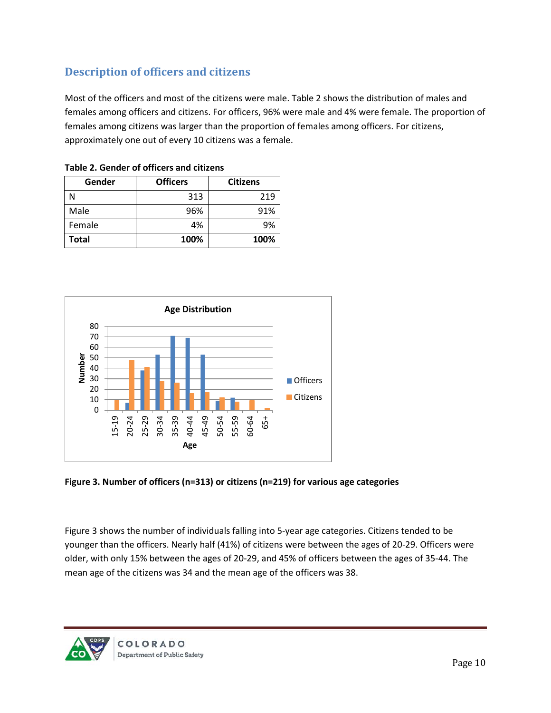### <span id="page-9-0"></span>**Description of officers and citizens**

Most of the officers and most of the citizens were male. Table 2 shows the distribution of males and females among officers and citizens. For officers, 96% were male and 4% were female. The proportion of females among citizens was larger than the proportion of females among officers. For citizens, approximately one out of every 10 citizens was a female.

| Gender | <b>Officers</b> | <b>Citizens</b> |
|--------|-----------------|-----------------|
|        | 313             | 219             |
| Male   | 96%             | 91%             |
| Female | 4%              | 9%              |
| Total  | 100%            | 100%            |

|  |  |  |  |  | Table 2. Gender of officers and citizens |
|--|--|--|--|--|------------------------------------------|
|--|--|--|--|--|------------------------------------------|



**Figure 3. Number of officers (n=313) or citizens (n=219) for various age categories**

Figure 3 shows the number of individuals falling into 5-year age categories. Citizens tended to be younger than the officers. Nearly half (41%) of citizens were between the ages of 20-29. Officers were older, with only 15% between the ages of 20-29, and 45% of officers between the ages of 35-44. The mean age of the citizens was 34 and the mean age of the officers was 38.

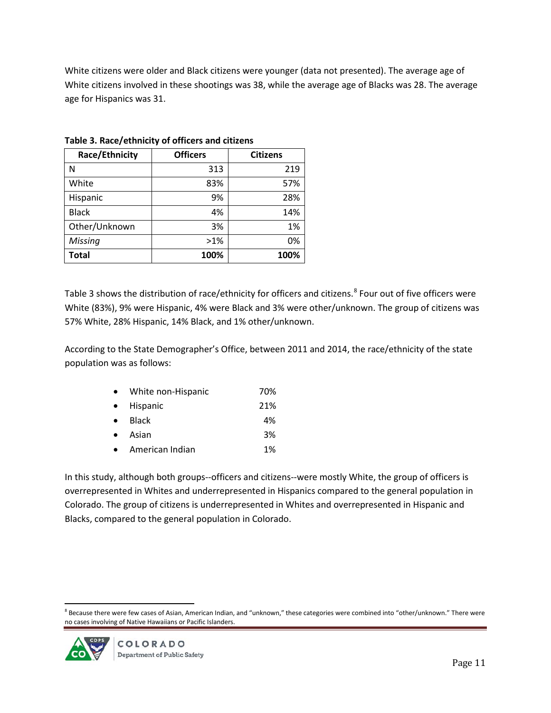White citizens were older and Black citizens were younger (data not presented). The average age of White citizens involved in these shootings was 38, while the average age of Blacks was 28. The average age for Hispanics was 31.

| Race/Ethnicity | <b>Officers</b> | <b>Citizens</b> |
|----------------|-----------------|-----------------|
| N              | 313             | 219             |
| White          | 83%             | 57%             |
| Hispanic       | 9%              | 28%             |
| <b>Black</b>   | 4%              | 14%             |
| Other/Unknown  | 3%              | 1%              |
| Missing        | $>1\%$          | 0%              |
| <b>Total</b>   | 100%            | 100%            |

**Table 3. Race/ethnicity of officers and citizens**

Table 3 shows the distribution of race/ethnicity for officers and citizens.<sup>[8](#page-10-0)</sup> Four out of five officers were White (83%), 9% were Hispanic, 4% were Black and 3% were other/unknown. The group of citizens was 57% White, 28% Hispanic, 14% Black, and 1% other/unknown.

According to the State Demographer's Office, between 2011 and 2014, the race/ethnicity of the state population was as follows:

| $\bullet$ | White non-Hispanic | 70% |
|-----------|--------------------|-----|
| $\bullet$ | Hispanic           | 21% |
| $\bullet$ | <b>Black</b>       | 4%  |
| $\bullet$ | Asian              | 3%  |
| $\bullet$ | American Indian    | 1%  |

In this study, although both groups--officers and citizens--were mostly White, the group of officers is overrepresented in Whites and underrepresented in Hispanics compared to the general population in Colorado. The group of citizens is underrepresented in Whites and overrepresented in Hispanic and Blacks, compared to the general population in Colorado.

<span id="page-10-0"></span> $8$  Because there were few cases of Asian, American Indian, and "unknown," these categories were combined into "other/unknown." There were no cases involving of Native Hawaiians or Pacific Islanders.

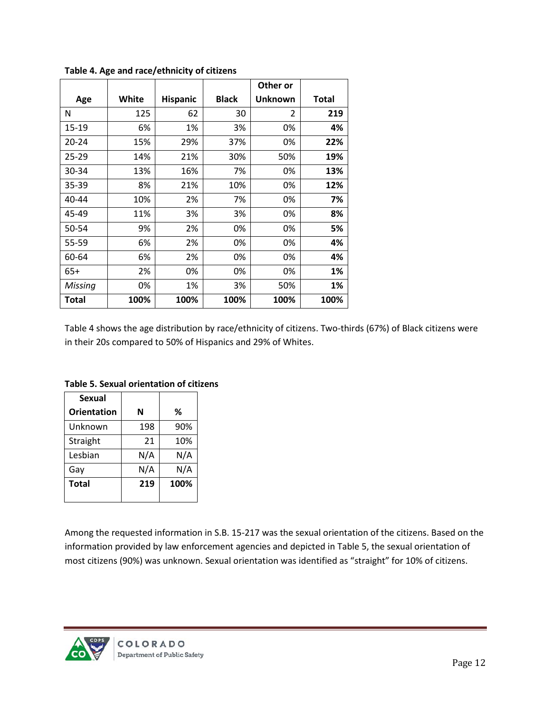|           |       |                 |              | Other or |       |
|-----------|-------|-----------------|--------------|----------|-------|
| Age       | White | <b>Hispanic</b> | <b>Black</b> | Unknown  | Total |
| N         | 125   | 62              | 30           | 2        | 219   |
| 15-19     | 6%    | 1%              | 3%           | 0%       | 4%    |
| $20 - 24$ | 15%   | 29%             | 37%          | 0%       | 22%   |
| $25 - 29$ | 14%   | 21%             | 30%          | 50%      | 19%   |
| 30-34     | 13%   | 16%             | 7%           | 0%       | 13%   |
| 35-39     | 8%    | 21%             | 10%          | 0%       | 12%   |
| 40-44     | 10%   | 2%              | 7%           | 0%       | 7%    |
| 45-49     | 11%   | 3%              | 3%           | 0%       | 8%    |
| 50-54     | 9%    | 2%              | 0%           | 0%       | 5%    |
| 55-59     | 6%    | 2%              | 0%           | 0%       | 4%    |
| 60-64     | 6%    | 2%              | 0%           | 0%       | 4%    |
| $65+$     | 2%    | 0%              | 0%           | 0%       | 1%    |
| Missing   | 0%    | 1%              | 3%           | 50%      | 1%    |
| Total     | 100%  | 100%            | 100%         | 100%     | 100%  |

**Table 4. Age and race/ethnicity of citizens**

Table 4 shows the age distribution by race/ethnicity of citizens. Two-thirds (67%) of Black citizens were in their 20s compared to 50% of Hispanics and 29% of Whites.

| <b>Sexual</b>      |     |      |
|--------------------|-----|------|
| <b>Orientation</b> | N   | %    |
| Unknown            | 198 | 90%  |
| Straight           | 21  | 10%  |
| Lesbian            | N/A | N/A  |
| Gay                | N/A | N/A  |
| <b>Total</b>       | 219 | 100% |
|                    |     |      |

**Table 5. Sexual orientation of citizens**

Among the requested information in S.B. 15-217 was the sexual orientation of the citizens. Based on the information provided by law enforcement agencies and depicted in Table 5, the sexual orientation of most citizens (90%) was unknown. Sexual orientation was identified as "straight" for 10% of citizens.

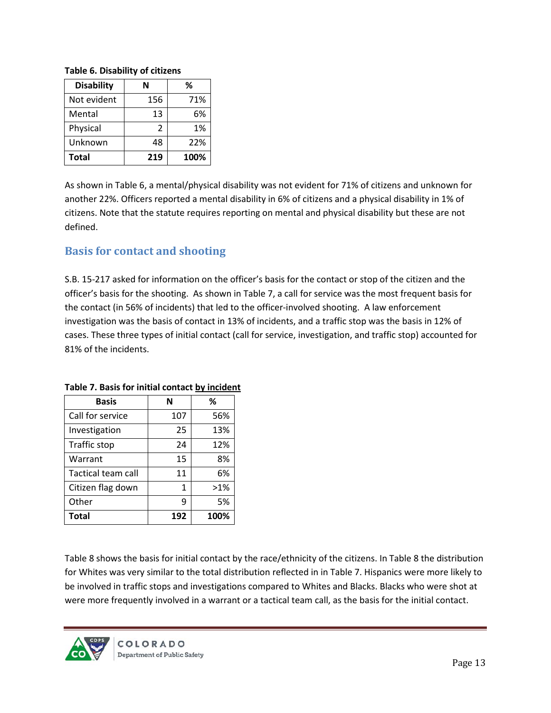| ,                 |     |      |  |
|-------------------|-----|------|--|
| <b>Disability</b> | N   | %    |  |
| Not evident       | 156 | 71%  |  |
| Mental            | 13  | 6%   |  |
| Physical          | 2   | 1%   |  |
| Unknown           | 48  | 22%  |  |
| <b>Total</b>      | 219 | 100% |  |

#### **Table 6. Disability of citizens**

As shown in Table 6, a mental/physical disability was not evident for 71% of citizens and unknown for another 22%. Officers reported a mental disability in 6% of citizens and a physical disability in 1% of citizens. Note that the statute requires reporting on mental and physical disability but these are not defined.

### <span id="page-12-0"></span>**Basis for contact and shooting**

S.B. 15-217 asked for information on the officer's basis for the contact or stop of the citizen and the officer's basis for the shooting. As shown in Table 7, a call for service was the most frequent basis for the contact (in 56% of incidents) that led to the officer-involved shooting. A law enforcement investigation was the basis of contact in 13% of incidents, and a traffic stop was the basis in 12% of cases. These three types of initial contact (call for service, investigation, and traffic stop) accounted for 81% of the incidents.

| <b>Basis</b>       |     | %      |
|--------------------|-----|--------|
| Call for service   | 107 | 56%    |
| Investigation      | 25  | 13%    |
| Traffic stop       | 24  | 12%    |
| Warrant            | 15  | 8%     |
| Tactical team call | 11  | 6%     |
| Citizen flag down  | 1   | $>1\%$ |
| Other              | q   | 5%     |
| Total              | 192 | 100%   |

#### **Table 7. Basis for initial contact by incident**

Table 8 shows the basis for initial contact by the race/ethnicity of the citizens. In Table 8 the distribution for Whites was very similar to the total distribution reflected in in Table 7. Hispanics were more likely to be involved in traffic stops and investigations compared to Whites and Blacks. Blacks who were shot at were more frequently involved in a warrant or a tactical team call, as the basis for the initial contact.

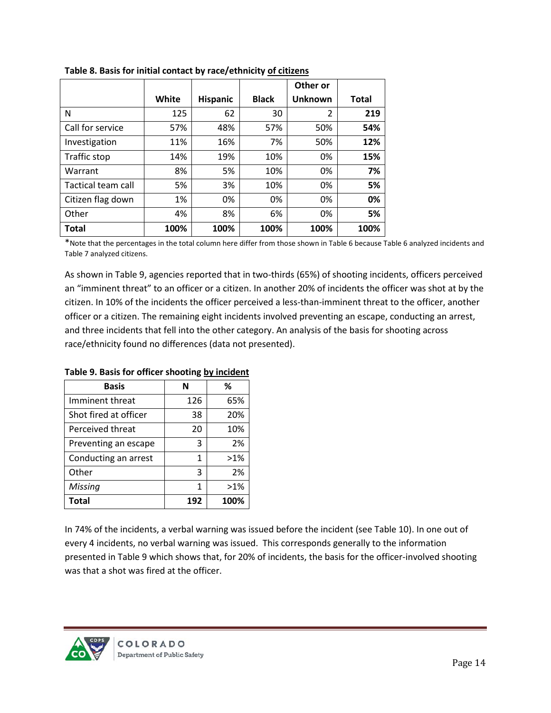|                    |       |                 |              | Other or |              |
|--------------------|-------|-----------------|--------------|----------|--------------|
|                    | White | <b>Hispanic</b> | <b>Black</b> | Unknown  | <b>Total</b> |
| N                  | 125   | 62              | 30           | 2        | 219          |
| Call for service   | 57%   | 48%             | 57%          | 50%      | 54%          |
| Investigation      | 11%   | 16%             | 7%           | 50%      | 12%          |
| Traffic stop       | 14%   | 19%             | 10%          | 0%       | 15%          |
| Warrant            | 8%    | 5%              | 10%          | 0%       | 7%           |
| Tactical team call | 5%    | 3%              | 10%          | 0%       | 5%           |
| Citizen flag down  | 1%    | 0%              | 0%           | 0%       | 0%           |
| Other              | 4%    | 8%              | 6%           | 0%       | 5%           |
| Total              | 100%  | 100%            | 100%         | 100%     | 100%         |

**Table 8. Basis for initial contact by race/ethnicity of citizens**

\*Note that the percentages in the total column here differ from those shown in Table 6 because Table 6 analyzed incidents and Table 7 analyzed citizens.

As shown in Table 9, agencies reported that in two-thirds (65%) of shooting incidents, officers perceived an "imminent threat" to an officer or a citizen. In another 20% of incidents the officer was shot at by the citizen. In 10% of the incidents the officer perceived a less-than-imminent threat to the officer, another officer or a citizen. The remaining eight incidents involved preventing an escape, conducting an arrest, and three incidents that fell into the other category. An analysis of the basis for shooting across race/ethnicity found no differences (data not presented).

| Basis                 | N   | ℅      |
|-----------------------|-----|--------|
| Imminent threat       | 126 | 65%    |
| Shot fired at officer | 38  | 20%    |
| Perceived threat      | 20  | 10%    |
| Preventing an escape  | 3   | 2%     |
| Conducting an arrest  | 1   | $>1\%$ |
| Other                 | 3   | 2%     |
| Missing               | 1   | $>1\%$ |
| <b>Total</b>          | 192 | 100%   |

**Table 9. Basis for officer shooting by incident**

In 74% of the incidents, a verbal warning was issued before the incident (see Table 10). In one out of every 4 incidents, no verbal warning was issued. This corresponds generally to the information presented in Table 9 which shows that, for 20% of incidents, the basis for the officer-involved shooting was that a shot was fired at the officer.

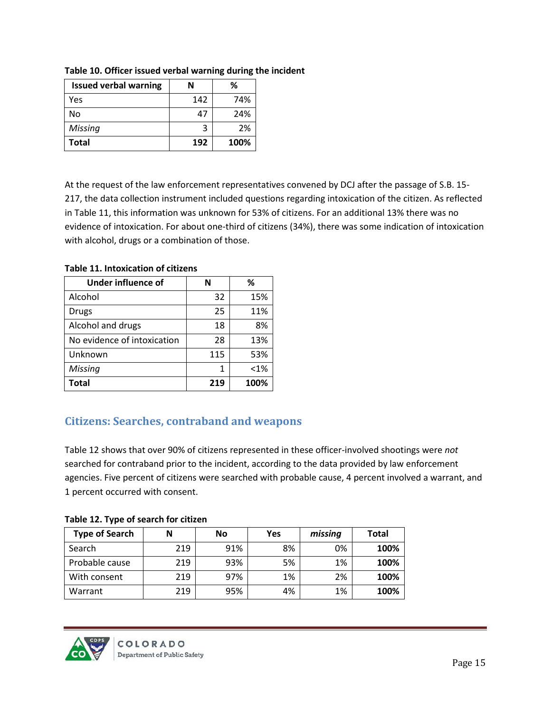| <b>Issued verbal warning</b> | N   |      |
|------------------------------|-----|------|
| Yes                          | 142 | 74%  |
| No                           | 47  | 24%  |
| Missing                      | ર   | 2%   |
| Total                        | 192 | 100% |

**Table 10. Officer issued verbal warning during the incident**

At the request of the law enforcement representatives convened by DCJ after the passage of S.B. 15- 217, the data collection instrument included questions regarding intoxication of the citizen. As reflected in Table 11, this information was unknown for 53% of citizens. For an additional 13% there was no evidence of intoxication. For about one-third of citizens (34%), there was some indication of intoxication with alcohol, drugs or a combination of those.

| Under influence of          |     | %       |
|-----------------------------|-----|---------|
| Alcohol                     | 32  | 15%     |
| Drugs                       | 25  | 11%     |
| Alcohol and drugs           | 18  | 8%      |
| No evidence of intoxication | 28  | 13%     |
| Unknown                     | 115 | 53%     |
| <b>Missing</b>              | 1   | $< 1\%$ |
| Total                       | 219 | 100%    |

**Table 11. Intoxication of citizens**

### <span id="page-14-0"></span>**Citizens: Searches, contraband and weapons**

Table 12 shows that over 90% of citizens represented in these officer-involved shootings were *not* searched for contraband prior to the incident, according to the data provided by law enforcement agencies. Five percent of citizens were searched with probable cause, 4 percent involved a warrant, and 1 percent occurred with consent.

**Table 12. Type of search for citizen**

| <b>Type of Search</b> | Ν   | <b>No</b> | Yes | missing | Total |
|-----------------------|-----|-----------|-----|---------|-------|
| Search                | 219 | 91%       | 8%  | 0%      | 100%  |
| Probable cause        | 219 | 93%       | 5%  | 1%      | 100%  |
| With consent          | 219 | 97%       | 1%  | 2%      | 100%  |
| Warrant               | 219 | 95%       | 4%  | 1%      | 100%  |

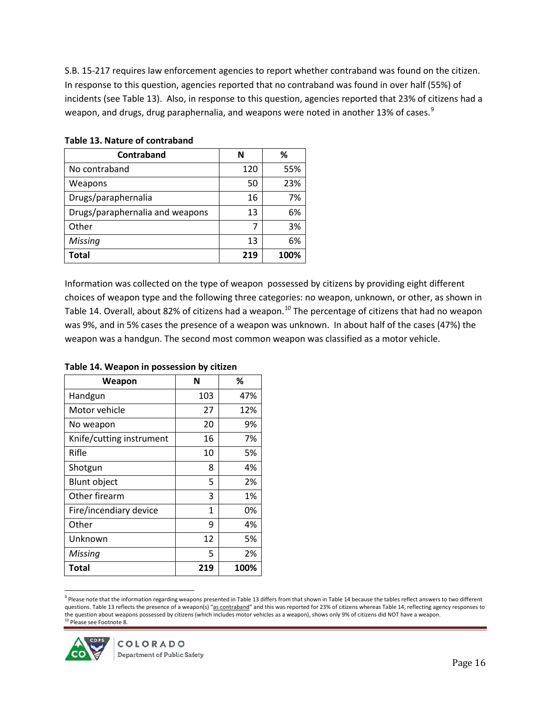S.B. 15-217 requires law enforcement agencies to report whether contraband was found on the citizen. In response to this question, agencies reported that no contraband was found in over half (55%) of incidents (see Table 13). Also, in response to this question, agencies reported that 23% of citizens had a weapon, and drugs, drug paraphernalia, and weapons were noted in another 13% of cases.<sup>[9](#page-15-0)</sup>

| Contraband                      | N   | ℅    |
|---------------------------------|-----|------|
| No contraband                   | 120 | 55%  |
| Weapons                         | 50  | 23%  |
| Drugs/paraphernalia             | 16  | 7%   |
| Drugs/paraphernalia and weapons | 13  | 6%   |
| Other                           |     | 3%   |
| Missing                         | 13  | 6%   |
| <b>Total</b>                    | 219 | 100% |

#### **Table 13. Nature of contraband**

Information was collected on the type of weapon possessed by citizens by providing eight different choices of weapon type and the following three categories: no weapon, unknown, or other, as shown in Table 14. Overall, about 82% of citizens had a weapon.<sup>[10](#page-15-1)</sup> The percentage of citizens that had no weapon was 9%, and in 5% cases the presence of a weapon was unknown. In about half of the cases (47%) the weapon was a handgun. The second most common weapon was classified as a motor vehicle.

| Weapon                   | N   | ℅    |
|--------------------------|-----|------|
| Handgun                  | 103 | 47%  |
| Motor vehicle            | 27  | 12%  |
| No weapon                | 20  | 9%   |
| Knife/cutting instrument | 16  | 7%   |
| Rifle                    | 10  | 5%   |
| Shotgun                  | 8   | 4%   |
| <b>Blunt object</b>      | 5   | 2%   |
| Other firearm            | 3   | 1%   |
| Fire/incendiary device   | 1   | 0%   |
| Other                    | 9   | 4%   |
| Unknown                  | 12  | 5%   |
| Missing                  | 5   | 2%   |
| Total                    | 219 | 100% |

#### **Table 14. Weapon in possession by citizen**

<span id="page-15-0"></span> $9$  Please note that the information regarding weapons presented in Table 13 differs from that shown in Table 14 because the tables reflect answers to two different questions. Table 13 reflects the presence of a weapon(s) "as contraband" and this was reported for 23% of citizens whereas Table 14, reflecting agency responses to the question about weapons possessed by citizens (which includes motor vehicles as a weapon), shows only 9% of citizens did NOT have a weapon. <sup>10</sup> Please see Footnote 8.

<span id="page-15-1"></span>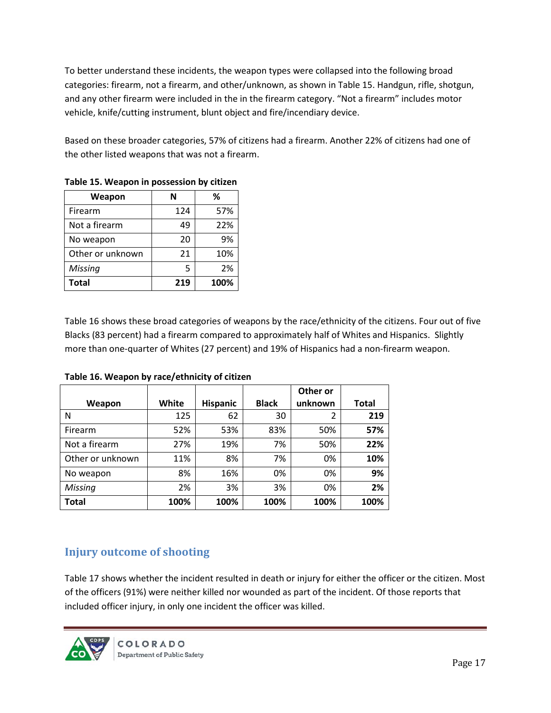To better understand these incidents, the weapon types were collapsed into the following broad categories: firearm, not a firearm, and other/unknown, as shown in Table 15. Handgun, rifle, shotgun, and any other firearm were included in the in the firearm category. "Not a firearm" includes motor vehicle, knife/cutting instrument, blunt object and fire/incendiary device.

Based on these broader categories, 57% of citizens had a firearm. Another 22% of citizens had one of the other listed weapons that was not a firearm.

| Weapon           | N   | %    |
|------------------|-----|------|
| Firearm          | 124 | 57%  |
| Not a firearm    | 49  | 22%  |
| No weapon        | 20  | 9%   |
| Other or unknown | 21  | 10%  |
| <b>Missing</b>   | 5   | 2%   |
| <b>Total</b>     | 219 | 100% |

**Table 15. Weapon in possession by citizen** 

Table 16 shows these broad categories of weapons by the race/ethnicity of the citizens. Four out of five Blacks (83 percent) had a firearm compared to approximately half of Whites and Hispanics. Slightly more than one-quarter of Whites (27 percent) and 19% of Hispanics had a non-firearm weapon.

|                  |       |                 |              | Other or |       |
|------------------|-------|-----------------|--------------|----------|-------|
| Weapon           | White | <b>Hispanic</b> | <b>Black</b> | unknown  | Total |
| N                | 125   | 62              | 30           | 2        | 219   |
| Firearm          | 52%   | 53%             | 83%          | 50%      | 57%   |
| Not a firearm    | 27%   | 19%             | 7%           | 50%      | 22%   |
| Other or unknown | 11%   | 8%              | 7%           | 0%       | 10%   |
| No weapon        | 8%    | 16%             | 0%           | 0%       | 9%    |
| Missing          | 2%    | 3%              | 3%           | 0%       | 2%    |
| <b>Total</b>     | 100%  | 100%            | 100%         | 100%     | 100%  |

**Table 16. Weapon by race/ethnicity of citizen**

### <span id="page-16-0"></span>**Injury outcome of shooting**

Table 17 shows whether the incident resulted in death or injury for either the officer or the citizen. Most of the officers (91%) were neither killed nor wounded as part of the incident. Of those reports that included officer injury, in only one incident the officer was killed.

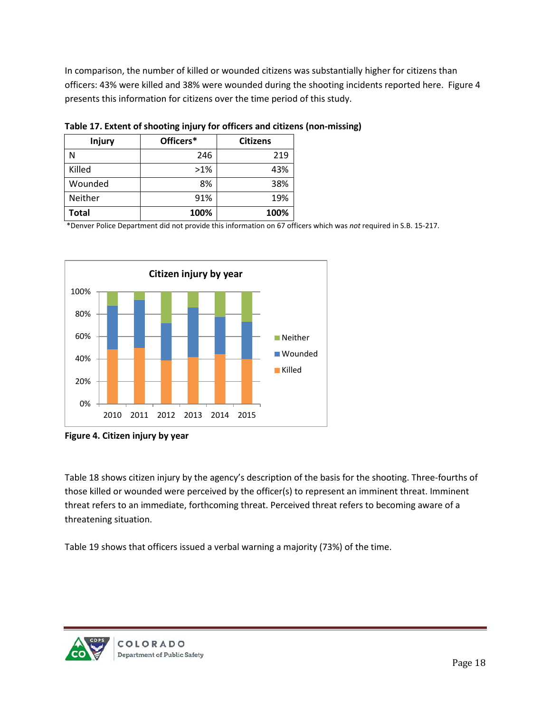In comparison, the number of killed or wounded citizens was substantially higher for citizens than officers: 43% were killed and 38% were wounded during the shooting incidents reported here. Figure 4 presents this information for citizens over the time period of this study.

| <b>Injury</b> | Officers* | <b>Citizens</b> |
|---------------|-----------|-----------------|
| N             | 246       | 219             |
| Killed        | $>1\%$    | 43%             |
| Wounded       | 8%        | 38%             |
| Neither       | 91%       | 19%             |
| Total         | 100%      | 100%            |

**Table 17. Extent of shooting injury for officers and citizens (non-missing)**

\*Denver Police Department did not provide this information on 67 officers which was *not* required in S.B. 15-217.



**Figure 4. Citizen injury by year**

Table 18 shows citizen injury by the agency's description of the basis for the shooting. Three-fourths of those killed or wounded were perceived by the officer(s) to represent an imminent threat. Imminent threat refers to an immediate, forthcoming threat. Perceived threat refers to becoming aware of a threatening situation.

Table 19 shows that officers issued a verbal warning a majority (73%) of the time.

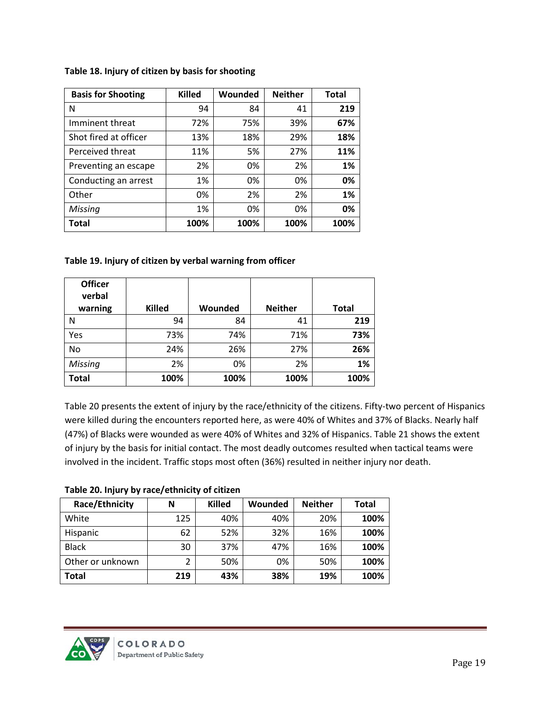| <b>Basis for Shooting</b> | <b>Killed</b> | Wounded | <b>Neither</b> | <b>Total</b> |
|---------------------------|---------------|---------|----------------|--------------|
| N                         | 94            | 84      | 41             | 219          |
| Imminent threat           | 72%           | 75%     | 39%            | 67%          |
| Shot fired at officer     | 13%           | 18%     | 29%            | 18%          |
| Perceived threat          | 11%           | 5%      | 27%            | 11%          |
| Preventing an escape      | 2%            | 0%      | 2%             | 1%           |
| Conducting an arrest      | 1%            | 0%      | 0%             | 0%           |
| Other                     | 0%            | 2%      | 2%             | 1%           |
| Missing                   | 1%            | 0%      | 0%             | 0%           |
| Total                     | 100%          | 100%    | 100%           | 100%         |

#### **Table 18. Injury of citizen by basis for shooting**

#### **Table 19. Injury of citizen by verbal warning from officer**

| <b>Officer</b><br>verbal<br>warning | <b>Killed</b> | Wounded | <b>Neither</b> | <b>Total</b> |
|-------------------------------------|---------------|---------|----------------|--------------|
| Ν                                   | 94            | 84      | 41             | 219          |
| Yes                                 | 73%           | 74%     | 71%            | 73%          |
| No                                  | 24%           | 26%     | 27%            | 26%          |
| <b>Missing</b>                      | 2%            | 0%      | 2%             | 1%           |
| <b>Total</b>                        | 100%          | 100%    | 100%           | 100%         |

Table 20 presents the extent of injury by the race/ethnicity of the citizens. Fifty-two percent of Hispanics were killed during the encounters reported here, as were 40% of Whites and 37% of Blacks. Nearly half (47%) of Blacks were wounded as were 40% of Whites and 32% of Hispanics. Table 21 shows the extent of injury by the basis for initial contact. The most deadly outcomes resulted when tactical teams were involved in the incident. Traffic stops most often (36%) resulted in neither injury nor death.

#### **Table 20. Injury by race/ethnicity of citizen**

| Race/Ethnicity   | N   | <b>Killed</b> | Wounded | <b>Neither</b> | <b>Total</b> |
|------------------|-----|---------------|---------|----------------|--------------|
| White            | 125 | 40%           | 40%     | 20%            | 100%         |
| Hispanic         | 62  | 52%           | 32%     | 16%            | 100%         |
| <b>Black</b>     | 30  | 37%           | 47%     | 16%            | 100%         |
| Other or unknown |     | 50%           | 0%      | 50%            | 100%         |
| <b>Total</b>     | 219 | 43%           | 38%     | 19%            | 100%         |

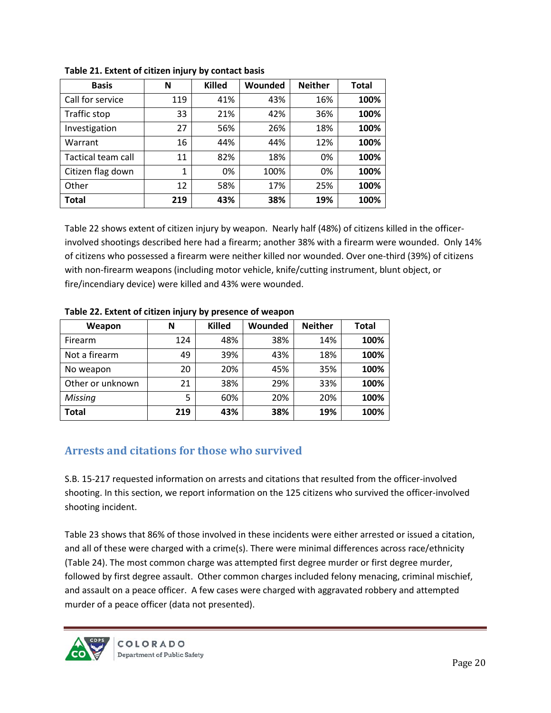| <b>Basis</b>       | N           | <b>Killed</b> | Wounded | <b>Neither</b> | <b>Total</b> |
|--------------------|-------------|---------------|---------|----------------|--------------|
| Call for service   | 119         | 41%           | 43%     | 16%            | 100%         |
| Traffic stop       | 33          | 21%           | 42%     | 36%            | 100%         |
| Investigation      | 27          | 56%           | 26%     | 18%            | 100%         |
| Warrant            | 16          | 44%           | 44%     | 12%            | 100%         |
| Tactical team call | 11          | 82%           | 18%     | 0%             | 100%         |
| Citizen flag down  | $\mathbf 1$ | 0%            | 100%    | 0%             | 100%         |
| Other              | 12          | 58%           | 17%     | 25%            | 100%         |
| <b>Total</b>       | 219         | 43%           | 38%     | 19%            | 100%         |

**Table 21. Extent of citizen injury by contact basis**

Table 22 shows extent of citizen injury by weapon. Nearly half (48%) of citizens killed in the officerinvolved shootings described here had a firearm; another 38% with a firearm were wounded. Only 14% of citizens who possessed a firearm were neither killed nor wounded. Over one-third (39%) of citizens with non-firearm weapons (including motor vehicle, knife/cutting instrument, blunt object, or fire/incendiary device) were killed and 43% were wounded.

| Weapon           | N   | <b>Killed</b> | Wounded | <b>Neither</b> | <b>Total</b> |
|------------------|-----|---------------|---------|----------------|--------------|
| Firearm          | 124 | 48%           | 38%     | 14%            | 100%         |
| Not a firearm    | 49  | 39%           | 43%     | 18%            | 100%         |
| No weapon        | 20  | 20%           | 45%     | 35%            | 100%         |
| Other or unknown | 21  | 38%           | 29%     | 33%            | 100%         |
| Missing          | 5   | 60%           | 20%     | 20%            | 100%         |
| <b>Total</b>     | 219 | 43%           | 38%     | 19%            | 100%         |

**Table 22. Extent of citizen injury by presence of weapon** 

### <span id="page-19-0"></span>**Arrests and citations for those who survived**

S.B. 15-217 requested information on arrests and citations that resulted from the officer-involved shooting. In this section, we report information on the 125 citizens who survived the officer-involved shooting incident.

Table 23 shows that 86% of those involved in these incidents were either arrested or issued a citation, and all of these were charged with a crime(s). There were minimal differences across race/ethnicity (Table 24). The most common charge was attempted first degree murder or first degree murder, followed by first degree assault. Other common charges included felony menacing, criminal mischief, and assault on a peace officer. A few cases were charged with aggravated robbery and attempted murder of a peace officer (data not presented).

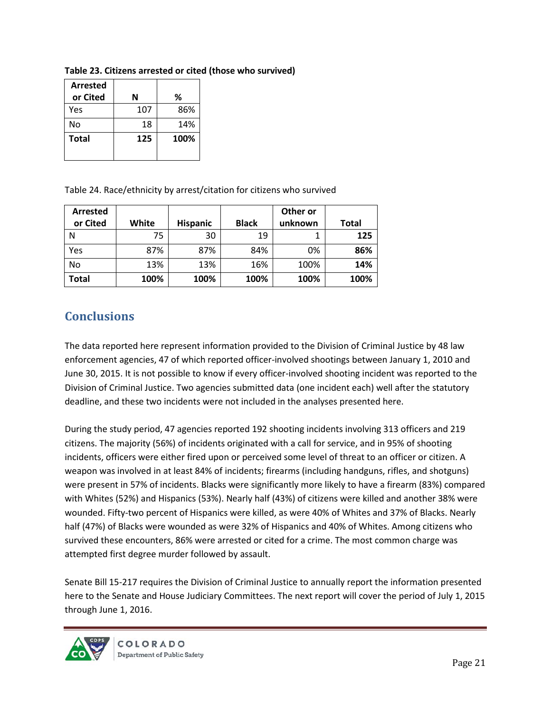| <b>Arrested</b> |     |      |
|-----------------|-----|------|
| or Cited        | N   | ℅    |
| Yes             | 107 | 86%  |
| No              | 18  | 14%  |
| <b>Total</b>    | 125 | 100% |
|                 |     |      |

**Table 23. Citizens arrested or cited (those who survived)**

Table 24. Race/ethnicity by arrest/citation for citizens who survived

| <b>Arrested</b> |       |                 |              | Other or |              |
|-----------------|-------|-----------------|--------------|----------|--------------|
| or Cited        | White | <b>Hispanic</b> | <b>Black</b> | unknown  | <b>Total</b> |
| N               | 75    | 30              | 19           |          | 125          |
| Yes             | 87%   | 87%             | 84%          | 0%       | 86%          |
| No              | 13%   | 13%             | 16%          | 100%     | 14%          |
| Total           | 100%  | 100%            | 100%         | 100%     | 100%         |

## <span id="page-20-0"></span>**Conclusions**

The data reported here represent information provided to the Division of Criminal Justice by 48 law enforcement agencies, 47 of which reported officer-involved shootings between January 1, 2010 and June 30, 2015. It is not possible to know if every officer-involved shooting incident was reported to the Division of Criminal Justice. Two agencies submitted data (one incident each) well after the statutory deadline, and these two incidents were not included in the analyses presented here.

During the study period, 47 agencies reported 192 shooting incidents involving 313 officers and 219 citizens. The majority (56%) of incidents originated with a call for service, and in 95% of shooting incidents, officers were either fired upon or perceived some level of threat to an officer or citizen. A weapon was involved in at least 84% of incidents; firearms (including handguns, rifles, and shotguns) were present in 57% of incidents. Blacks were significantly more likely to have a firearm (83%) compared with Whites (52%) and Hispanics (53%). Nearly half (43%) of citizens were killed and another 38% were wounded. Fifty-two percent of Hispanics were killed, as were 40% of Whites and 37% of Blacks. Nearly half (47%) of Blacks were wounded as were 32% of Hispanics and 40% of Whites. Among citizens who survived these encounters, 86% were arrested or cited for a crime. The most common charge was attempted first degree murder followed by assault.

Senate Bill 15-217 requires the Division of Criminal Justice to annually report the information presented here to the Senate and House Judiciary Committees. The next report will cover the period of July 1, 2015 through June 1, 2016.

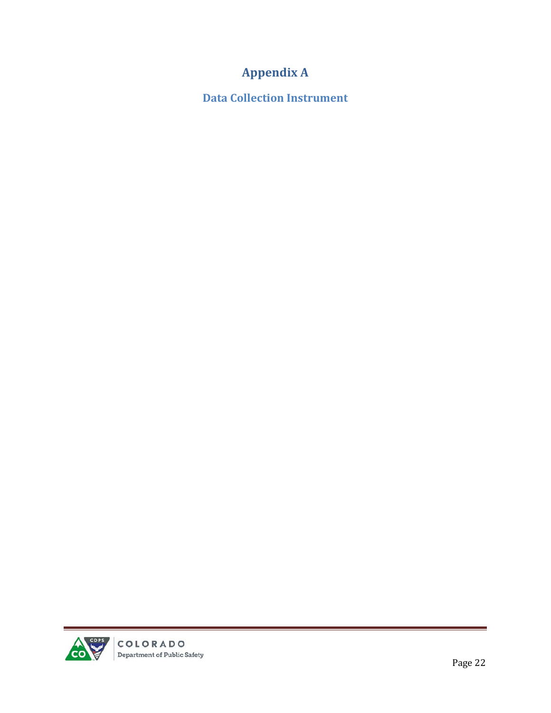## **Appendix A**

<span id="page-21-1"></span><span id="page-21-0"></span>**Data Collection Instrument**

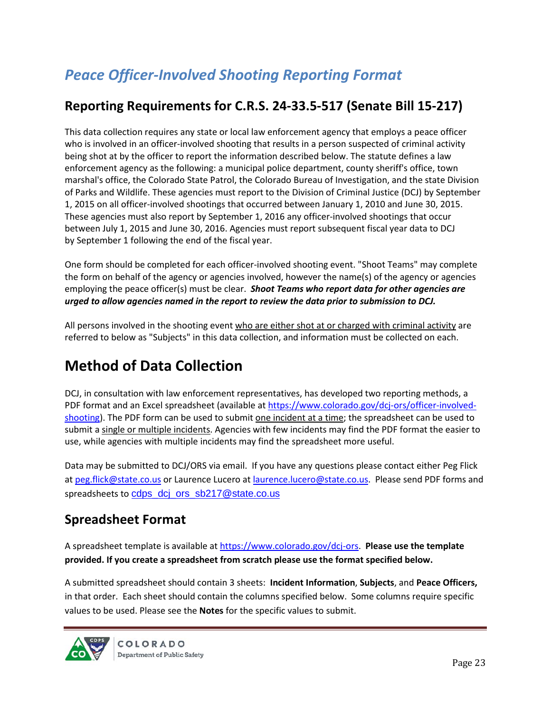# *Peace Officer-Involved Shooting Reporting Format*

## **Reporting Requirements for C.R.S. 24-33.5-517 (Senate Bill 15-217)**

This data collection requires any state or local law enforcement agency that employs a peace officer who is involved in an officer-involved shooting that results in a person suspected of criminal activity being shot at by the officer to report the information described below. The statute defines a law enforcement agency as the following: a municipal police department, county sheriff's office, town marshal's office, the Colorado State Patrol, the Colorado Bureau of Investigation, and the state Division of Parks and Wildlife. These agencies must report to the Division of Criminal Justice (DCJ) by September 1, 2015 on all officer-involved shootings that occurred between January 1, 2010 and June 30, 2015. These agencies must also report by September 1, 2016 any officer-involved shootings that occur between July 1, 2015 and June 30, 2016. Agencies must report subsequent fiscal year data to DCJ by September 1 following the end of the fiscal year.

One form should be completed for each officer-involved shooting event. "Shoot Teams" may complete the form on behalf of the agency or agencies involved, however the name(s) of the agency or agencies employing the peace officer(s) must be clear. *Shoot Teams who report data for other agencies are urged to allow agencies named in the report to review the data prior to submission to DCJ.*

All persons involved in the shooting event who are either shot at or charged with criminal activity are referred to below as "Subjects" in this data collection, and information must be collected on each.

## **Method of Data Collection**

DCJ, in consultation with law enforcement representatives, has developed two reporting methods, a PDF format and an Excel spreadsheet (available at [https://www.colorado.gov/dcj-ors/officer-involved](https://www.colorado.gov/dcj-ors/officer-involved-shooting)[shooting\)](https://www.colorado.gov/dcj-ors/officer-involved-shooting). The PDF form can be used to submit one incident at a time; the spreadsheet can be used to submit a single or multiple incidents. Agencies with few incidents may find the PDF format the easier to use, while agencies with multiple incidents may find the spreadsheet more useful.

Data may be submitted to DCJ/ORS via email. If you have any questions please contact either Peg Flick at [peg.flick@state.co.us](mailto:peg.flick@state.co.us) or Laurence Lucero at laurence.lucero@state.co.us. Please send PDF forms and spreadsheets to cdps\_dcj\_ors\_sb217@state.co.us

## **Spreadsheet Format**

A spreadsheet template is available at [https://www.colorado.gov/dcj-ors.](https://www.colorado.gov/dcj-ors) **Please use the template provided. If you create a spreadsheet from scratch please use the format specified below.** 

A submitted spreadsheet should contain 3 sheets: **Incident Information**, **Subjects**, and **Peace Officers,** in that order. Each sheet should contain the columns specified below. Some columns require specific values to be used. Please see the **Notes** for the specific values to submit.

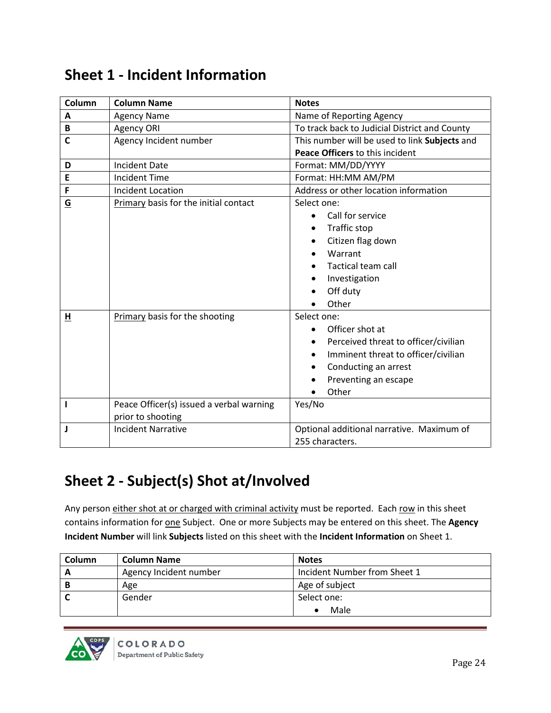| Column                   | <b>Column Name</b>                                            | <b>Notes</b>                                                                                                                                                                        |  |
|--------------------------|---------------------------------------------------------------|-------------------------------------------------------------------------------------------------------------------------------------------------------------------------------------|--|
| Α                        | <b>Agency Name</b>                                            | Name of Reporting Agency                                                                                                                                                            |  |
| B                        | Agency ORI                                                    | To track back to Judicial District and County                                                                                                                                       |  |
| $\mathsf{C}$             | Agency Incident number                                        | This number will be used to link Subjects and                                                                                                                                       |  |
|                          |                                                               | Peace Officers to this incident                                                                                                                                                     |  |
| D                        | <b>Incident Date</b>                                          | Format: MM/DD/YYYY                                                                                                                                                                  |  |
| E                        | <b>Incident Time</b>                                          | Format: HH:MM AM/PM                                                                                                                                                                 |  |
| F                        | <b>Incident Location</b>                                      | Address or other location information                                                                                                                                               |  |
| $\underline{\mathsf{G}}$ | Primary basis for the initial contact                         | Select one:<br>Call for service<br>$\bullet$<br>Traffic stop<br>$\bullet$<br>Citizen flag down<br>Warrant<br>Tactical team call<br>Investigation<br>Off duty<br>Other               |  |
| н                        | Primary basis for the shooting                                | Select one:<br>Officer shot at<br>Perceived threat to officer/civilian<br>Imminent threat to officer/civilian<br>Conducting an arrest<br>$\bullet$<br>Preventing an escape<br>Other |  |
| п                        | Peace Officer(s) issued a verbal warning<br>prior to shooting | Yes/No                                                                                                                                                                              |  |
| J                        | <b>Incident Narrative</b>                                     | Optional additional narrative. Maximum of<br>255 characters.                                                                                                                        |  |

## **Sheet 1 - Incident Information**

# **Sheet 2 - Subject(s) Shot at/Involved**

Any person either shot at or charged with criminal activity must be reported. Each row in this sheet contains information for **one** Subject. One or more Subjects may be entered on this sheet. The Agency **Incident Number** will link **Subjects** listed on this sheet with the **Incident Information** on Sheet 1.

| <b>Column</b> | <b>Column Name</b>     | <b>Notes</b>                 |
|---------------|------------------------|------------------------------|
|               | Agency Incident number | Incident Number from Sheet 1 |
|               | Age                    | Age of subject               |
|               | Gender                 | Select one:                  |
|               |                        | Male                         |

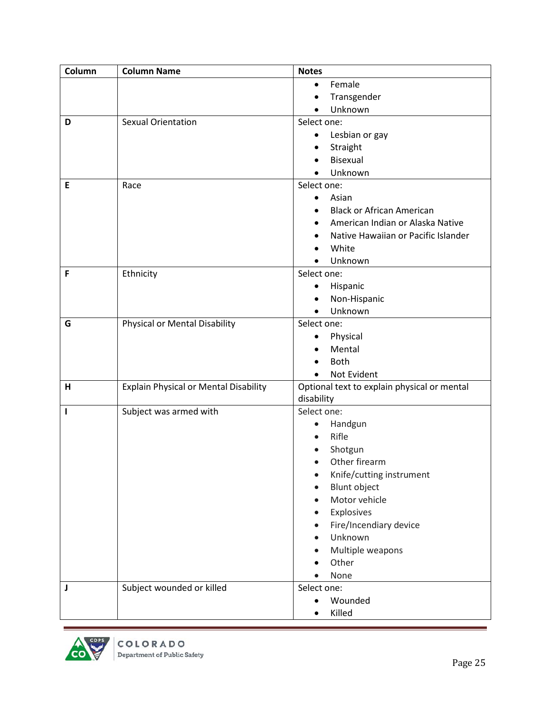| Column | <b>Column Name</b>                           | <b>Notes</b>                                |
|--------|----------------------------------------------|---------------------------------------------|
|        |                                              | Female<br>$\bullet$                         |
|        |                                              | Transgender<br>$\bullet$                    |
|        |                                              | Unknown                                     |
| D      | <b>Sexual Orientation</b>                    | Select one:                                 |
|        |                                              | Lesbian or gay<br>٠                         |
|        |                                              | Straight                                    |
|        |                                              | Bisexual                                    |
|        |                                              | Unknown                                     |
| E      | Race                                         | Select one:                                 |
|        |                                              | Asian<br>$\bullet$                          |
|        |                                              | <b>Black or African American</b>            |
|        |                                              | American Indian or Alaska Native            |
|        |                                              | Native Hawaiian or Pacific Islander         |
|        |                                              | White                                       |
|        |                                              | Unknown                                     |
| F      | Ethnicity                                    | Select one:                                 |
|        |                                              | Hispanic<br>$\bullet$                       |
|        |                                              | Non-Hispanic<br>$\bullet$                   |
|        |                                              | Unknown<br>$\bullet$                        |
| G      | Physical or Mental Disability                | Select one:                                 |
|        |                                              | Physical                                    |
|        |                                              | Mental                                      |
|        |                                              | <b>Both</b>                                 |
|        |                                              | Not Evident<br>$\bullet$                    |
| н      | <b>Explain Physical or Mental Disability</b> | Optional text to explain physical or mental |
|        |                                              | disability                                  |
| ı      | Subject was armed with                       | Select one:                                 |
|        |                                              | Handgun<br>$\bullet$                        |
|        |                                              | Rifle                                       |
|        |                                              | Shotgun                                     |
|        |                                              | Other firearm                               |
|        |                                              | Knife/cutting instrument<br>$\bullet$       |
|        |                                              | <b>Blunt object</b>                         |
|        |                                              | Motor vehicle                               |
|        |                                              | Explosives                                  |
|        |                                              | Fire/Incendiary device                      |
|        |                                              | Unknown                                     |
|        |                                              | Multiple weapons                            |
|        |                                              | Other                                       |
|        |                                              | None                                        |
| J      | Subject wounded or killed                    | Select one:                                 |
|        |                                              | Wounded<br>$\bullet$                        |
|        |                                              | Killed                                      |

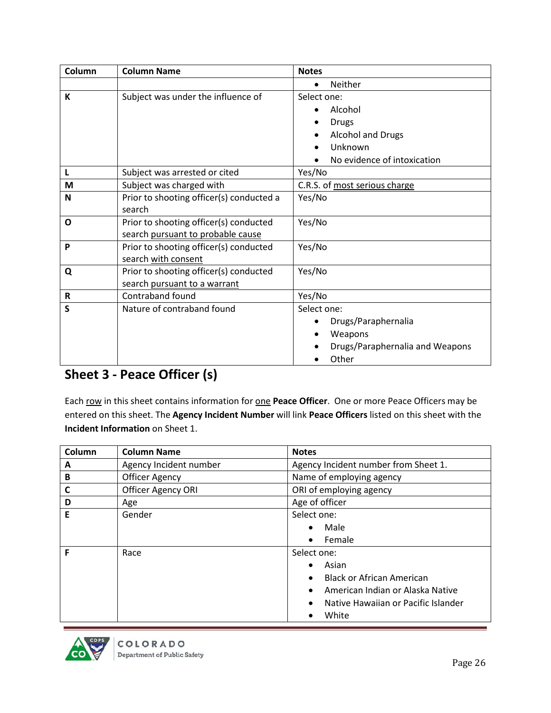| Column | <b>Column Name</b>                       | <b>Notes</b>                     |
|--------|------------------------------------------|----------------------------------|
|        |                                          | Neither<br>$\bullet$             |
| K      | Subject was under the influence of       | Select one:                      |
|        |                                          | Alcohol<br>$\bullet$             |
|        |                                          | <b>Drugs</b>                     |
|        |                                          | <b>Alcohol and Drugs</b>         |
|        |                                          | Unknown                          |
|        |                                          | No evidence of intoxication      |
| L      | Subject was arrested or cited            | Yes/No                           |
| M      | Subject was charged with                 | C.R.S. of most serious charge    |
| N      | Prior to shooting officer(s) conducted a | Yes/No                           |
|        | search                                   |                                  |
| O      | Prior to shooting officer(s) conducted   | Yes/No                           |
|        | search pursuant to probable cause        |                                  |
| P      | Prior to shooting officer(s) conducted   | Yes/No                           |
|        | search with consent                      |                                  |
| Q      | Prior to shooting officer(s) conducted   | Yes/No                           |
|        | search pursuant to a warrant             |                                  |
| R      | Contraband found                         | Yes/No                           |
| S      | Nature of contraband found               | Select one:                      |
|        |                                          | Drugs/Paraphernalia<br>$\bullet$ |
|        |                                          | Weapons<br>$\bullet$             |
|        |                                          | Drugs/Paraphernalia and Weapons  |
|        |                                          | Other                            |

## **Sheet 3 - Peace Officer (s)**

Each row in this sheet contains information for one **Peace Officer**. One or more Peace Officers may be entered on this sheet. The **Agency Incident Number** will link **Peace Officers** listed on this sheet with the **Incident Information** on Sheet 1.

| Column | <b>Column Name</b>        | <b>Notes</b>                                     |
|--------|---------------------------|--------------------------------------------------|
| A      | Agency Incident number    | Agency Incident number from Sheet 1.             |
| B      | <b>Officer Agency</b>     | Name of employing agency                         |
| C      | <b>Officer Agency ORI</b> | ORI of employing agency                          |
| D      | Age                       | Age of officer                                   |
| E      | Gender                    | Select one:                                      |
|        |                           | Male<br>$\bullet$                                |
|        |                           | Female<br>$\bullet$                              |
| F      | Race                      | Select one:                                      |
|        |                           | Asian<br>$\bullet$                               |
|        |                           | <b>Black or African American</b><br>$\bullet$    |
|        |                           | American Indian or Alaska Native<br>$\bullet$    |
|        |                           | Native Hawaiian or Pacific Islander<br>$\bullet$ |
|        |                           | White                                            |

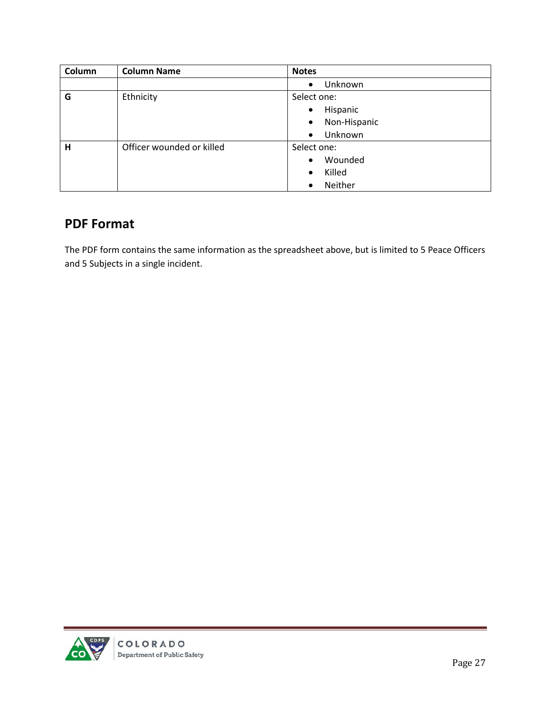| Column | <b>Column Name</b>        | <b>Notes</b>              |
|--------|---------------------------|---------------------------|
|        |                           | Unknown<br>$\bullet$      |
| G      | Ethnicity                 | Select one:               |
|        |                           | Hispanic<br>$\bullet$     |
|        |                           | Non-Hispanic<br>$\bullet$ |
|        |                           | Unknown<br>$\bullet$      |
| H      | Officer wounded or killed | Select one:               |
|        |                           | Wounded<br>$\bullet$      |
|        |                           | Killed<br>$\bullet$       |
|        |                           | Neither<br>$\bullet$      |

## **PDF Format**

The PDF form contains the same information as the spreadsheet above, but is limited to 5 Peace Officers and 5 Subjects in a single incident.

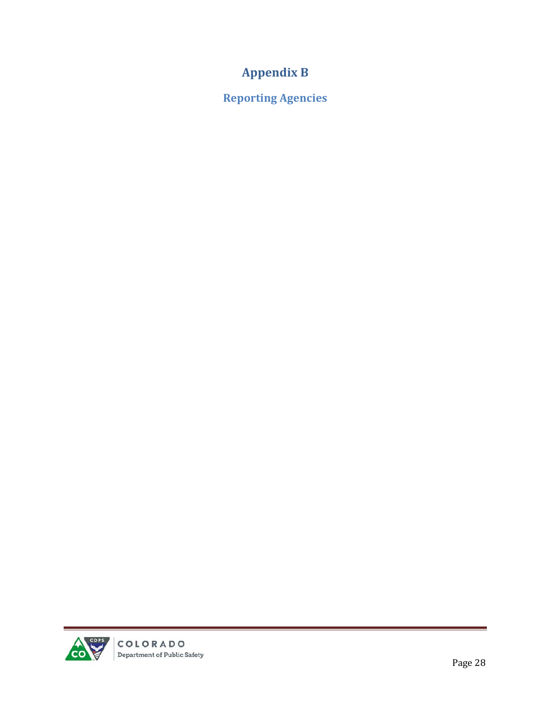## **Appendix B**

<span id="page-27-1"></span><span id="page-27-0"></span>**Reporting Agencies**

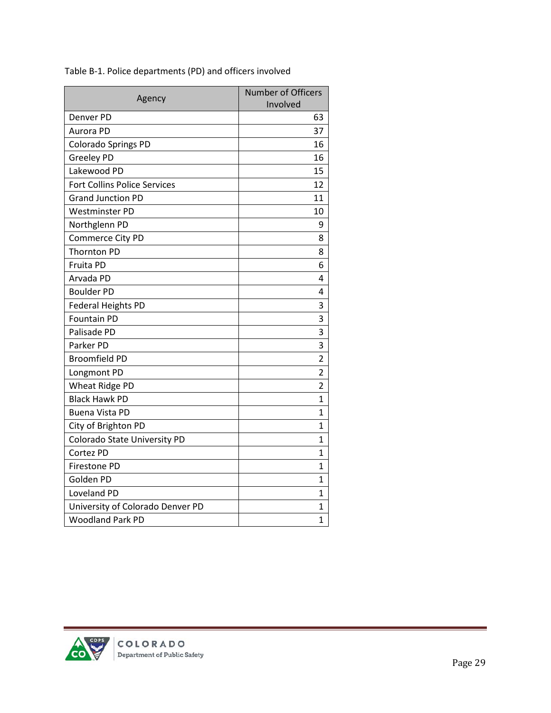|                                     | <b>Number of Officers</b> |
|-------------------------------------|---------------------------|
| Agency                              | Involved                  |
| Denver PD                           | 63                        |
| Aurora PD                           | 37                        |
| <b>Colorado Springs PD</b>          | 16                        |
| Greeley PD                          | 16                        |
| Lakewood PD                         | 15                        |
| <b>Fort Collins Police Services</b> | 12                        |
| <b>Grand Junction PD</b>            | 11                        |
| <b>Westminster PD</b>               | 10                        |
| Northglenn PD                       | 9                         |
| Commerce City PD                    | 8                         |
| <b>Thornton PD</b>                  | 8                         |
| Fruita PD                           | 6                         |
| Arvada PD                           | 4                         |
| <b>Boulder PD</b>                   | 4                         |
| Federal Heights PD                  | 3                         |
| Fountain PD                         | 3                         |
| Palisade PD                         | 3                         |
| Parker PD                           | 3                         |
| <b>Broomfield PD</b>                | $\overline{2}$            |
| Longmont PD                         | $\overline{2}$            |
| Wheat Ridge PD                      | $\overline{2}$            |
| <b>Black Hawk PD</b>                | $\mathbf{1}$              |
| <b>Buena Vista PD</b>               | 1                         |
| City of Brighton PD                 | 1                         |
| Colorado State University PD        | 1                         |
| Cortez PD                           | $\mathbf{1}$              |
| Firestone PD                        | 1                         |
| Golden PD                           | 1                         |
| Loveland PD                         | 1                         |
| University of Colorado Denver PD    | 1                         |
| <b>Woodland Park PD</b>             | 1                         |

Table B-1. Police departments (PD) and officers involved